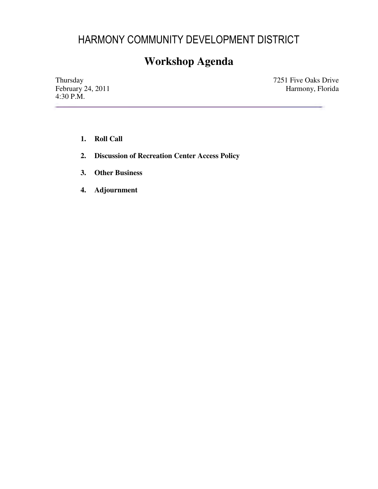## HARMONY COMMUNITY DEVELOPMENT DISTRICT

# **Workshop Agenda**

4:30 P.M.

Thursday 7251 Five Oaks Drive<br>February 24, 2011 7251 Five Oaks Drive<br>Harmony, Florida February 24, 2011 **Harmon**y, Florida

- **1. Roll Call**
- **2. Discussion of Recreation Center Access Policy**
- **3. Other Business**
- **4. Adjournment**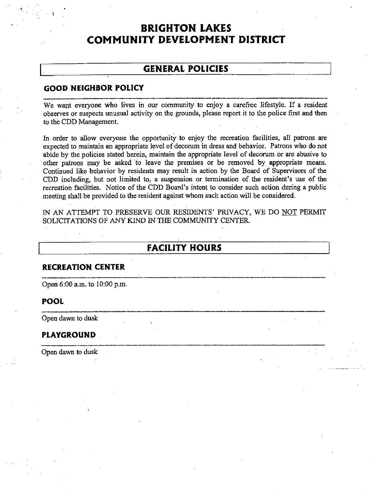## **BRIGHTON LAKES COMMUNITY DEVELOPMENT DISTRICT**

## **GENERAL POLICIES**

### **GOOD NEIGHBOR POLICY**

We want everyone who lives in our community to enjoy a carefree lifestyle. If a resident observes or suspects unusual activity on the grounds, please report it to the police first and then to the CDD Management.

In. order to allow everyone the opportunity to enjoy the recreation facilities, all patrons are expected to maintain an appropriate level of decorum in dress and behavior. Patrons who do not abide by the policies stated herein, maintain the appropriate level of decorum .or are abusive to other patrons may be asked to leave the premises or be removed by appropriate means. Continued like behavior by residents may result in action by the Board of Supervisors of the CDD including, but not limited to, a suspension or termination of the resident's use of the recreation facilities. Notice of the CDD Board's intent to consider such action during a public meeting shall be provided to the resident against whom such action will be considered.

IN AN ATTEMPT TO PRESERVE OUR RESIDENTS' PRIVACY, WE DO NOT PERMIT SOLICITATIONS OF ANY KIND IN THE COMMUNITY CENTER.

## **FACILITY HOURS**

#### **RECREATION CENTER**

Open 6:00 a.m. to 10:00 p.m.

#### **POOL**

**POOL**<br>Open dawn to dusk

#### **PLAYGROUND**

Open dawn to dusk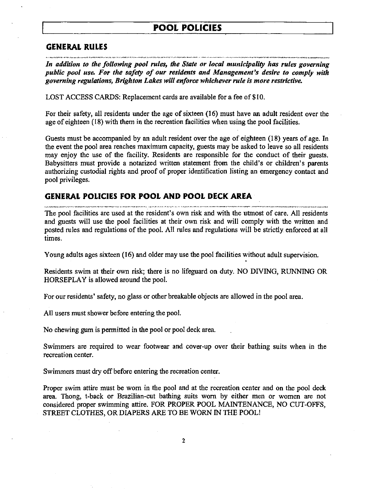## **POOL POLICIES**

#### **GENERAL RULES**

*In addition to the following pool rules, the State or local municipality has rules governing public pool use. For the safety of our residents and Management's desire to comply with governing regulations, Brighton Lakes will enforce whichever rule is more restrictive.* 

 $\cdots$ 

LOST ACCESS CARDS: Replacement cards are available for a fee of \$10.

For their safety, all residents under the age of sixteen (16) must have an adult resident over the age of eighteen (18) with them in the recreation facilities when using the pool facilities.

Guests must be accompanied by an adult resident over the age of eighteen (18) years of age. In the event the pool area reaches maximum capacity, guests may be asked to leave so all residents may enjoy the use of the facility. Residents are responsible for the conduct of their guests. Babysitters must provide a notarized written statement from the child's or children's parents authorizing custodial rights and proof of proper identification listing an emergency contact and pool privileges.

# GENERAL POLICIES FOR POOL AND POOL DECK AREA

The pool facilities are used at the resident's own risk and with the utmost of care. All residents and guests will use the pool facilities at their own risk and will comply with the written and posted rules and regulations of the pool. All rules and regulations will be strictly enforced at all times.

Young adults ages sixteen (16) and older may use the pool facilities without adult supervision.

Residents swim at their own risk; there is no lifeguard on duty. NO DIVING, RUNNING OR HORSEPLAY is allowed around the pool.

For our residents' safety, no glass or other breakable objects are allowed in the pool area.

All users must shower before entering the pool.

No chewing gum is permitted in the pool or pool deck area.

Swimmers are required to wear footwear and cover-up over their bathing suits when in the recreation center.

Swimmers must dry off before entering the recreation center.

Proper swim attire must be worn in the pool and at the recreation center and on the pool deck area. Thong, I-back or Brazilian-cut bathing suits worn by either men or women are not considered proper swimming attire. FOR PROPER POOL MAINTENANCE, NO CUT-OFFS, STREET CLOTHES, OR DIAPERS ARE TO BE WORN IN THE POOL!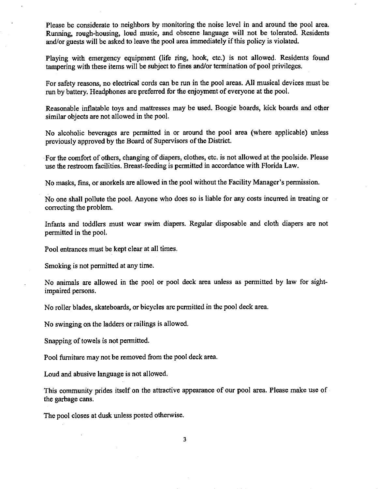Please be considerate to neighbors by monitoring the noise level in and around the pool area. Running, rough-housing, loud music, and obscene language will not be tolerated. Residents and/or guests will be asked to leave the pool area immediately if this policy is violated.

Playing with emergency equipment (life ring, hook, etc.) is not allowed. Residents found tampering with these items will be subject to fines and/or termination of pool privileges.

For safety reasons, no electrical cords can be run in the pool areas. All musical devices must be run by battery. Headphones are preferred for the enjoyment of everyone at the pool.

Reasonable inflatable toys and mattresses may be used. Boogie boards, kick boards and other similar objects are not allowed in the pool.

No alcoholic beverages are permitted in or around the pool area (where applicable) unless previously approved by the Board of Supervisors of the District.

· For the comfort of others, changing of diapers, clothes, etc. is not allowed at the poolside. Please use the restroom facilities. Breast-feeding is permitted in accordance with Florida Law.

No masks, fins, or snorkels are allowed in the pool without the Facility Manager's permission.

No one shall pollute the pool. Anyone who does so is liable for any costs incurred in treating or correcting the problem.

Infants and toddlers must wear swim diapers. Regular disposable and cloth diapers are not permitted in the pool.

Pool entrances must be kept clear at all times.

Smoking is not permitted at any time.

No animals are allowed in the pool or pool deck area unless as permitted by law for sightimpaired persons.

No roller blades, skateboards, or bicycles are permitted in the pool deck area.

No swinging on the ladders or railings is allowed.

Snapping of towels is not permitted.

Pool furniture may not be removed from the pool deck area.

Loud and abusive language is not allowed.

This community prides itself on the attractive appearance of our pool area. Please make use of the garbage cans.

The pool closes at dusk unless posted otherwise.

3